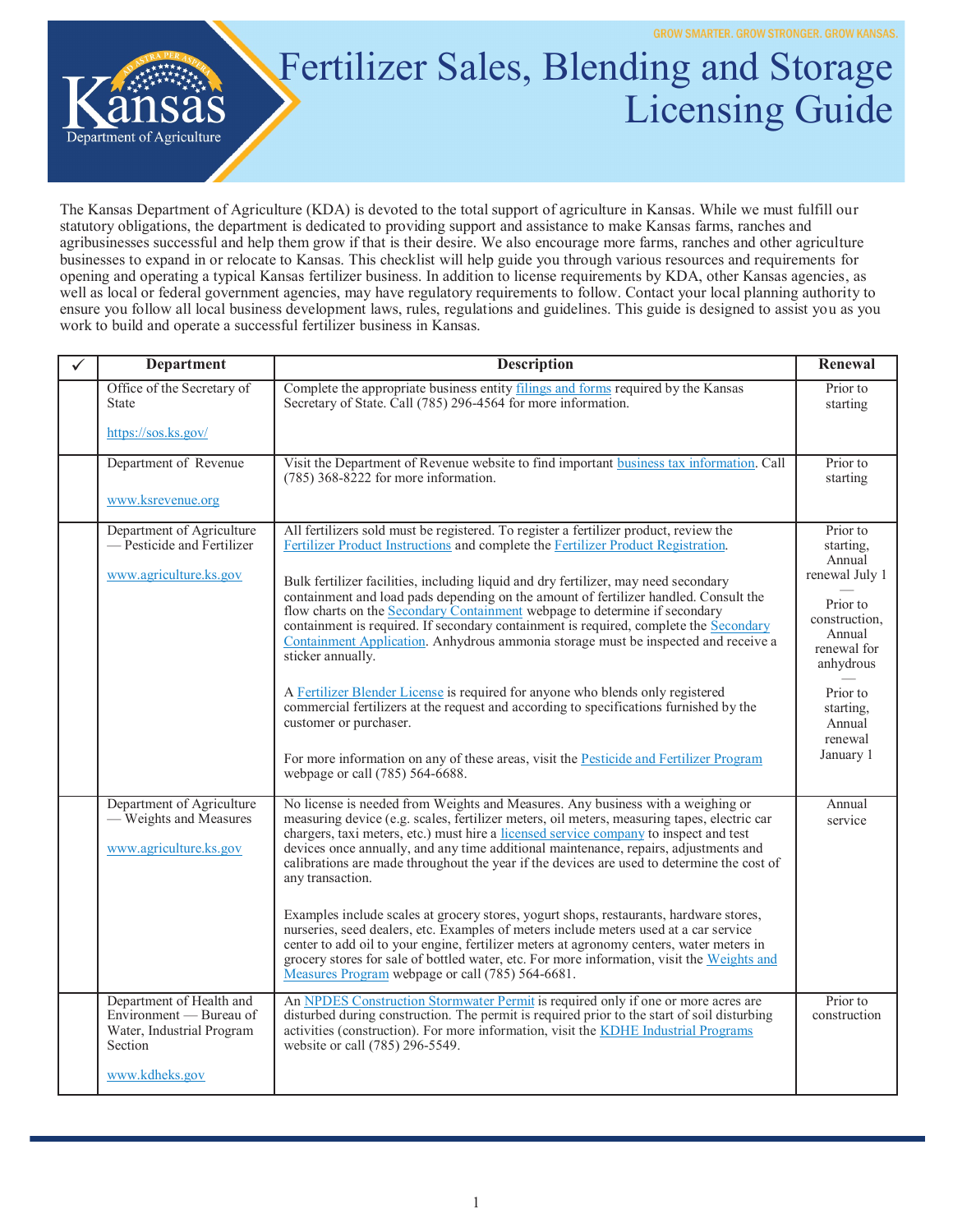

## Fertilizer Sales, Blending and Storage Licensing Guide

The Kansas Department of Agriculture (KDA) is devoted to the total support of agriculture in Kansas. While we must fulfill our statutory obligations, the department is dedicated to providing support and assistance to make Kansas farms, ranches and agribusinesses successful and help them grow if that is their desire. We also encourage more farms, ranches and other agriculture businesses to expand in or relocate to Kansas. This checklist will help guide you through various resources and requirements for opening and operating a typical Kansas fertilizer business. In addition to license requirements by KDA, other Kansas agencies, as well as local or federal government agencies, may have regulatory requirements to follow. Contact your local planning authority to ensure you follow all local business development laws, rules, regulations and guidelines. This guide is designed to assist you as you work to build and operate a successful fertilizer business in Kansas.

| $\checkmark$ | <b>Department</b>                                                                                             | <b>Description</b>                                                                                                                                                                                                                                                                                                                                                                                                                                                                                                                                                                                                                                                                                                                                                                                                                                             | Renewal                                                                                                              |
|--------------|---------------------------------------------------------------------------------------------------------------|----------------------------------------------------------------------------------------------------------------------------------------------------------------------------------------------------------------------------------------------------------------------------------------------------------------------------------------------------------------------------------------------------------------------------------------------------------------------------------------------------------------------------------------------------------------------------------------------------------------------------------------------------------------------------------------------------------------------------------------------------------------------------------------------------------------------------------------------------------------|----------------------------------------------------------------------------------------------------------------------|
|              | Office of the Secretary of<br>State                                                                           | Complete the appropriate business entity filings and forms required by the Kansas<br>Secretary of State. Call (785) 296-4564 for more information.                                                                                                                                                                                                                                                                                                                                                                                                                                                                                                                                                                                                                                                                                                             | Prior to<br>starting                                                                                                 |
|              | https://sos.ks.gov/                                                                                           |                                                                                                                                                                                                                                                                                                                                                                                                                                                                                                                                                                                                                                                                                                                                                                                                                                                                |                                                                                                                      |
|              | Department of Revenue                                                                                         | Visit the Department of Revenue website to find important business tax information. Call<br>$(785)$ 368-8222 for more information.                                                                                                                                                                                                                                                                                                                                                                                                                                                                                                                                                                                                                                                                                                                             | Prior to<br>starting                                                                                                 |
|              | www.ksrevenue.org                                                                                             |                                                                                                                                                                                                                                                                                                                                                                                                                                                                                                                                                                                                                                                                                                                                                                                                                                                                |                                                                                                                      |
|              | Department of Agriculture<br>— Pesticide and Fertilizer<br>www.agriculture.ks.gov                             | All fertilizers sold must be registered. To register a fertilizer product, review the<br>Fertilizer Product Instructions and complete the Fertilizer Product Registration.<br>Bulk fertilizer facilities, including liquid and dry fertilizer, may need secondary<br>containment and load pads depending on the amount of fertilizer handled. Consult the<br>flow charts on the Secondary Containment webpage to determine if secondary<br>containment is required. If secondary containment is required, complete the Secondary<br>Containment Application. Anhydrous ammonia storage must be inspected and receive a<br>sticker annually.                                                                                                                                                                                                                    | Prior to<br>starting.<br>Annual<br>renewal July 1<br>Prior to<br>construction.<br>Annual<br>renewal for<br>anhydrous |
|              |                                                                                                               | A Fertilizer Blender License is required for anyone who blends only registered<br>commercial fertilizers at the request and according to specifications furnished by the<br>customer or purchaser.<br>For more information on any of these areas, visit the Pesticide and Fertilizer Program<br>webpage or call (785) 564-6688.                                                                                                                                                                                                                                                                                                                                                                                                                                                                                                                                | Prior to<br>starting,<br>Annual<br>renewal<br>January 1                                                              |
|              | Department of Agriculture<br>- Weights and Measures<br>www.agriculture.ks.gov                                 | No license is needed from Weights and Measures. Any business with a weighing or<br>measuring device (e.g. scales, fertilizer meters, oil meters, measuring tapes, electric car<br>chargers, taxi meters, etc.) must hire a licensed service company to inspect and test<br>devices once annually, and any time additional maintenance, repairs, adjustments and<br>calibrations are made throughout the year if the devices are used to determine the cost of<br>any transaction.<br>Examples include scales at grocery stores, yogurt shops, restaurants, hardware stores,<br>nurseries, seed dealers, etc. Examples of meters include meters used at a car service<br>center to add oil to your engine, fertilizer meters at agronomy centers, water meters in<br>grocery stores for sale of bottled water, etc. For more information, visit the Weights and | Annual<br>service                                                                                                    |
|              |                                                                                                               | Measures Program webpage or call (785) 564-6681.                                                                                                                                                                                                                                                                                                                                                                                                                                                                                                                                                                                                                                                                                                                                                                                                               |                                                                                                                      |
|              | Department of Health and<br>Environment - Bureau of<br>Water, Industrial Program<br>Section<br>www.kdheks.gov | An NPDES Construction Stormwater Permit is required only if one or more acres are<br>disturbed during construction. The permit is required prior to the start of soil disturbing<br>activities (construction). For more information, visit the KDHE Industrial Programs<br>website or call (785) 296-5549.                                                                                                                                                                                                                                                                                                                                                                                                                                                                                                                                                     | Prior to<br>construction                                                                                             |
|              |                                                                                                               |                                                                                                                                                                                                                                                                                                                                                                                                                                                                                                                                                                                                                                                                                                                                                                                                                                                                |                                                                                                                      |